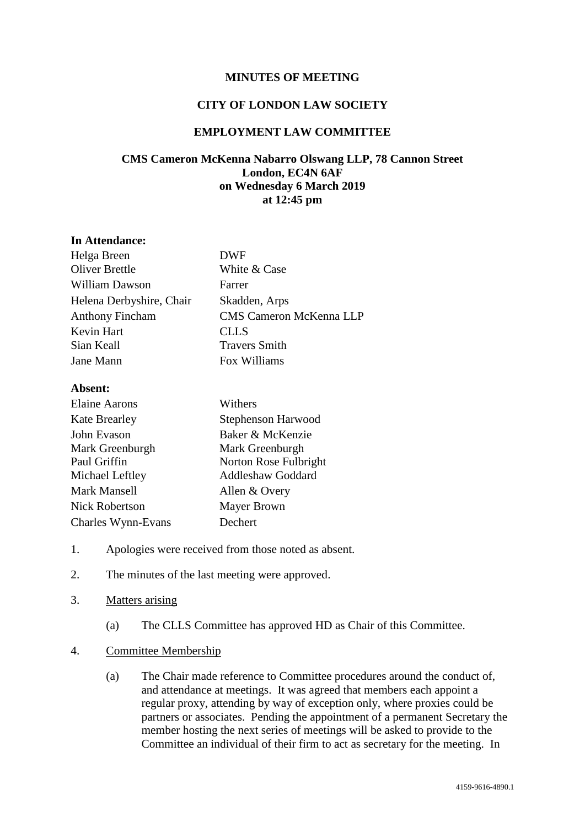## **MINUTES OF MEETING**

#### **CITY OF LONDON LAW SOCIETY**

## **EMPLOYMENT LAW COMMITTEE**

# **CMS Cameron McKenna Nabarro Olswang LLP, 78 Cannon Street London, EC4N 6AF on Wednesday 6 March 2019 at 12:45 pm**

#### **In Attendance:**

| Helga Breen              | <b>DWF</b>                     |
|--------------------------|--------------------------------|
| <b>Oliver Brettle</b>    | White & Case                   |
| <b>William Dawson</b>    | Farrer                         |
| Helena Derbyshire, Chair | Skadden, Arps                  |
| <b>Anthony Fincham</b>   | <b>CMS Cameron McKenna LLP</b> |
| Kevin Hart               | <b>CLLS</b>                    |
| Sian Keall               | <b>Travers Smith</b>           |
| Jane Mann                | Fox Williams                   |
|                          |                                |

#### **Absent:**

| Elaine Aarons        | Withers                   |
|----------------------|---------------------------|
| <b>Kate Brearley</b> | <b>Stephenson Harwood</b> |
| John Evason          | Baker & McKenzie          |
| Mark Greenburgh      | Mark Greenburgh           |
| Paul Griffin         | Norton Rose Fulbright     |
| Michael Leftley      | <b>Addleshaw Goddard</b>  |
| <b>Mark Mansell</b>  | Allen & Overy             |
| Nick Robertson       | <b>Mayer Brown</b>        |
| Charles Wynn-Evans   | Dechert                   |

- 1. Apologies were received from those noted as absent.
- 2. The minutes of the last meeting were approved.
- 3. Matters arising
	- (a) The CLLS Committee has approved HD as Chair of this Committee.

## 4. Committee Membership

(a) The Chair made reference to Committee procedures around the conduct of, and attendance at meetings. It was agreed that members each appoint a regular proxy, attending by way of exception only, where proxies could be partners or associates. Pending the appointment of a permanent Secretary the member hosting the next series of meetings will be asked to provide to the Committee an individual of their firm to act as secretary for the meeting. In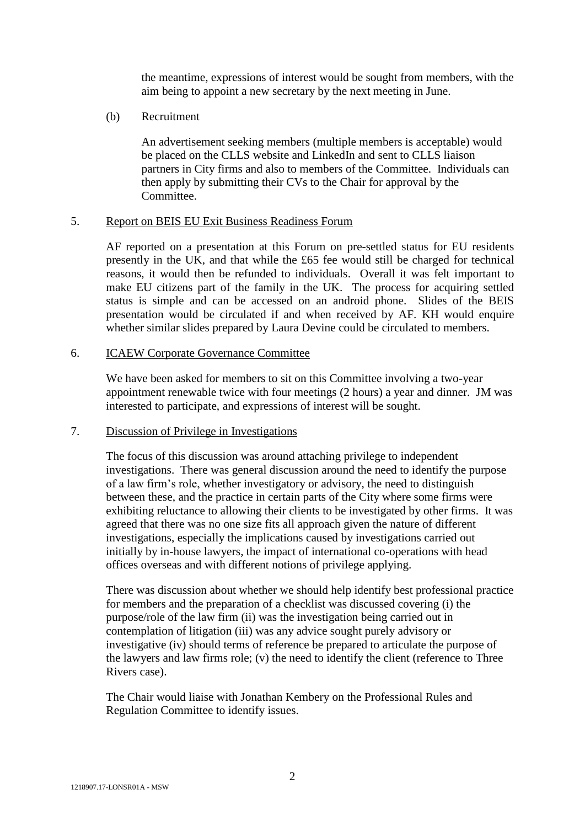the meantime, expressions of interest would be sought from members, with the aim being to appoint a new secretary by the next meeting in June.

(b) Recruitment

An advertisement seeking members (multiple members is acceptable) would be placed on the CLLS website and LinkedIn and sent to CLLS liaison partners in City firms and also to members of the Committee. Individuals can then apply by submitting their CVs to the Chair for approval by the Committee.

## 5. Report on BEIS EU Exit Business Readiness Forum

AF reported on a presentation at this Forum on pre-settled status for EU residents presently in the UK, and that while the £65 fee would still be charged for technical reasons, it would then be refunded to individuals. Overall it was felt important to make EU citizens part of the family in the UK. The process for acquiring settled status is simple and can be accessed on an android phone. Slides of the BEIS presentation would be circulated if and when received by AF. KH would enquire whether similar slides prepared by Laura Devine could be circulated to members.

## 6. ICAEW Corporate Governance Committee

We have been asked for members to sit on this Committee involving a two-year appointment renewable twice with four meetings (2 hours) a year and dinner. JM was interested to participate, and expressions of interest will be sought.

### 7. Discussion of Privilege in Investigations

The focus of this discussion was around attaching privilege to independent investigations. There was general discussion around the need to identify the purpose of a law firm's role, whether investigatory or advisory, the need to distinguish between these, and the practice in certain parts of the City where some firms were exhibiting reluctance to allowing their clients to be investigated by other firms. It was agreed that there was no one size fits all approach given the nature of different investigations, especially the implications caused by investigations carried out initially by in-house lawyers, the impact of international co-operations with head offices overseas and with different notions of privilege applying.

There was discussion about whether we should help identify best professional practice for members and the preparation of a checklist was discussed covering (i) the purpose/role of the law firm (ii) was the investigation being carried out in contemplation of litigation (iii) was any advice sought purely advisory or investigative (iv) should terms of reference be prepared to articulate the purpose of the lawyers and law firms role; (v) the need to identify the client (reference to Three Rivers case).

The Chair would liaise with Jonathan Kembery on the Professional Rules and Regulation Committee to identify issues.